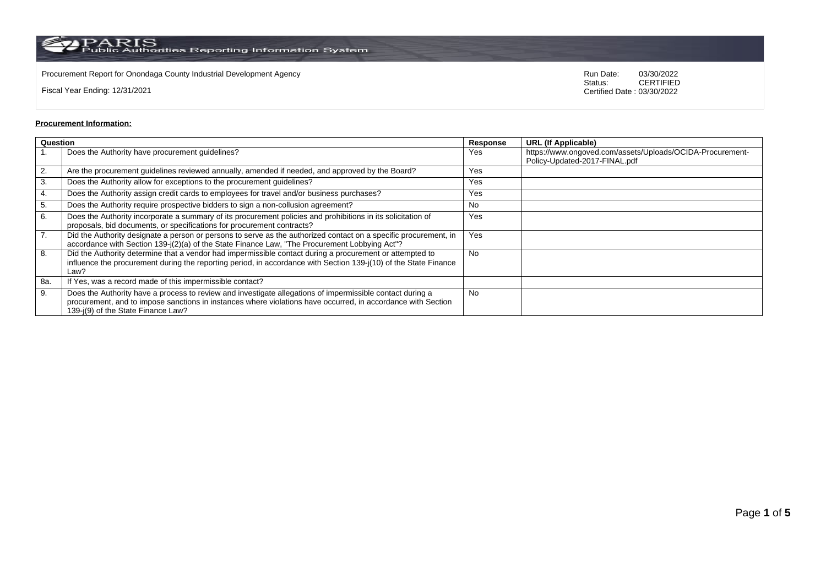$\rm PARS$  Public Authorities Reporting Information System

Procurement Report for Onondaga County Industrial Development Agency<br>
Status: CERTIFIED<br>
CERTIFIED

Fiscal Year Ending: 12/31/2021

CERTIFIED Certified Date : 03/30/2022

## **Procurement Information:**

| Question |                                                                                                                                                                                                                                                                 | Response  | <b>URL (If Applicable)</b>                                                                 |
|----------|-----------------------------------------------------------------------------------------------------------------------------------------------------------------------------------------------------------------------------------------------------------------|-----------|--------------------------------------------------------------------------------------------|
|          | Does the Authority have procurement guidelines?                                                                                                                                                                                                                 | Yes       | https://www.ongoved.com/assets/Uploads/OCIDA-Procurement-<br>Policy-Updated-2017-FINAL.pdf |
| 2.       | Are the procurement guidelines reviewed annually, amended if needed, and approved by the Board?                                                                                                                                                                 | Yes       |                                                                                            |
| 3.       | Does the Authority allow for exceptions to the procurement guidelines?                                                                                                                                                                                          | Yes       |                                                                                            |
|          | Does the Authority assign credit cards to employees for travel and/or business purchases?                                                                                                                                                                       | Yes       |                                                                                            |
| 5.       | Does the Authority require prospective bidders to sign a non-collusion agreement?                                                                                                                                                                               | No        |                                                                                            |
| 6.       | Does the Authority incorporate a summary of its procurement policies and prohibitions in its solicitation of<br>proposals, bid documents, or specifications for procurement contracts?                                                                          | Yes       |                                                                                            |
| 7.       | Did the Authority designate a person or persons to serve as the authorized contact on a specific procurement, in<br>accordance with Section 139-j(2)(a) of the State Finance Law, "The Procurement Lobbying Act"?                                               | Yes       |                                                                                            |
| 8.       | Did the Authority determine that a vendor had impermissible contact during a procurement or attempted to<br>influence the procurement during the reporting period, in accordance with Section 139-j(10) of the State Finance<br>Law?                            | <b>No</b> |                                                                                            |
| 8a.      | If Yes, was a record made of this impermissible contact?                                                                                                                                                                                                        |           |                                                                                            |
| 9.       | Does the Authority have a process to review and investigate allegations of impermissible contact during a<br>procurement, and to impose sanctions in instances where violations have occurred, in accordance with Section<br>139-i(9) of the State Finance Law? | <b>No</b> |                                                                                            |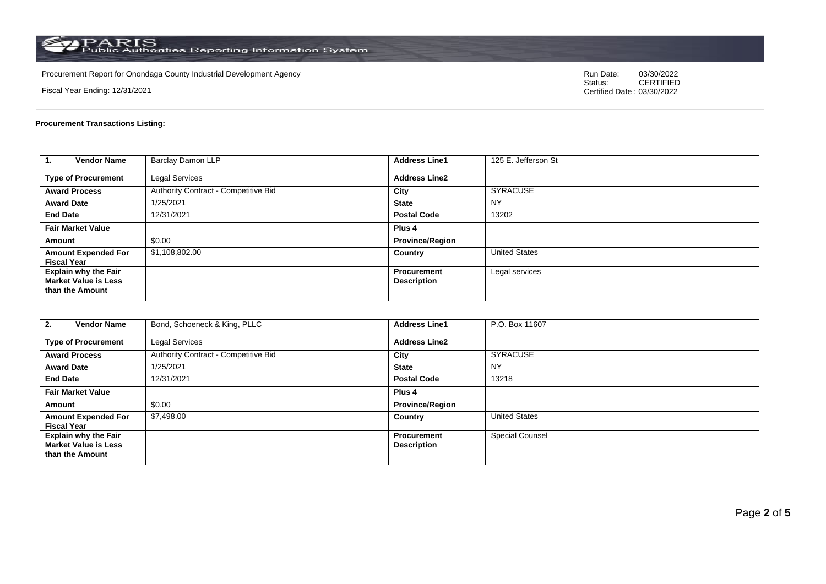$\rm PARS$  Public Authorities Reporting Information System

Procurement Report for Onondaga County Industrial Development Agency<br>
Status: CERTIFIED<br>
CERTIFIED

Fiscal Year Ending: 12/31/2021

CERTIFIED Certified Date : 03/30/2022

## **Procurement Transactions Listing:**

| 1.<br><b>Vendor Name</b>                                                      | <b>Barclay Damon LLP</b>             | <b>Address Line1</b>              | 125 E. Jefferson St  |
|-------------------------------------------------------------------------------|--------------------------------------|-----------------------------------|----------------------|
| <b>Type of Procurement</b>                                                    | Legal Services                       | <b>Address Line2</b>              |                      |
| <b>Award Process</b>                                                          | Authority Contract - Competitive Bid | City                              | <b>SYRACUSE</b>      |
| <b>Award Date</b>                                                             | 1/25/2021                            | <b>State</b>                      | <b>NY</b>            |
| <b>End Date</b>                                                               | 12/31/2021                           | <b>Postal Code</b>                | 13202                |
| <b>Fair Market Value</b>                                                      |                                      | Plus <sub>4</sub>                 |                      |
| Amount                                                                        | \$0.00                               | <b>Province/Region</b>            |                      |
| <b>Amount Expended For</b><br><b>Fiscal Year</b>                              | \$1,108,802.00                       | Country                           | <b>United States</b> |
| <b>Explain why the Fair</b><br><b>Market Value is Less</b><br>than the Amount |                                      | Procurement<br><b>Description</b> | Legal services       |

| <b>Vendor Name</b><br>2.                                                      | Bond, Schoeneck & King, PLLC         | <b>Address Line1</b>                     | P.O. Box 11607       |
|-------------------------------------------------------------------------------|--------------------------------------|------------------------------------------|----------------------|
| <b>Type of Procurement</b>                                                    | <b>Legal Services</b>                | <b>Address Line2</b>                     |                      |
| <b>Award Process</b>                                                          | Authority Contract - Competitive Bid | City                                     | <b>SYRACUSE</b>      |
| <b>Award Date</b>                                                             | 1/25/2021                            | <b>State</b>                             | <b>NY</b>            |
| <b>End Date</b>                                                               | 12/31/2021                           | <b>Postal Code</b>                       | 13218                |
| <b>Fair Market Value</b>                                                      |                                      | Plus 4                                   |                      |
| Amount                                                                        | \$0.00                               | <b>Province/Region</b>                   |                      |
| <b>Amount Expended For</b><br><b>Fiscal Year</b>                              | \$7,498.00                           | Country                                  | <b>United States</b> |
| <b>Explain why the Fair</b><br><b>Market Value is Less</b><br>than the Amount |                                      | <b>Procurement</b><br><b>Description</b> | Special Counsel      |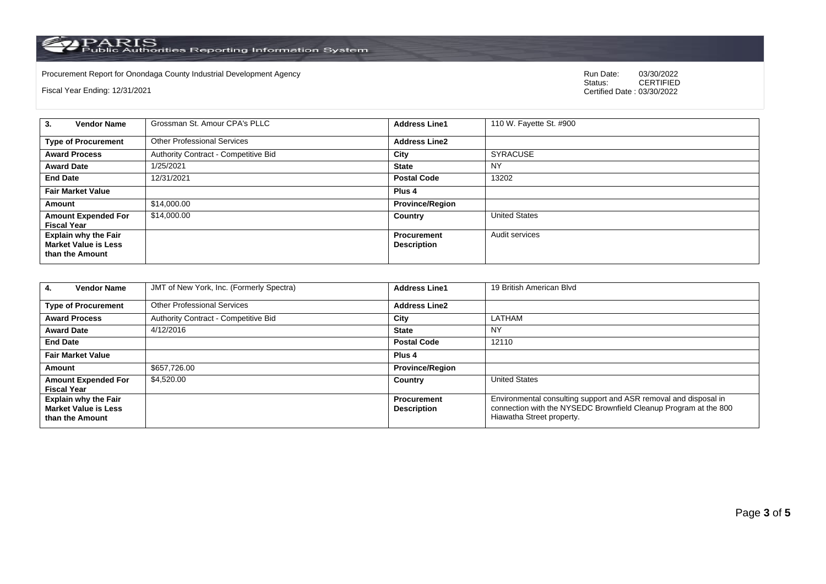PARIS<br>Public Authorities Reporting Information System

Procurement Report for Onondaga County Industrial Development Agency **Communication County Access Procurement Report** Status: 03/30/2022

Fiscal Year Ending: 12/31/2021

03/30/2022<br>CERTIFIED Certified Date : 03/30/2022

| <b>Vendor Name</b><br>3.                                                      | Grossman St. Amour CPA's PLLC        | <b>Address Line1</b>                     | 110 W. Fayette St. #900 |
|-------------------------------------------------------------------------------|--------------------------------------|------------------------------------------|-------------------------|
| <b>Type of Procurement</b>                                                    | <b>Other Professional Services</b>   | <b>Address Line2</b>                     |                         |
| <b>Award Process</b>                                                          | Authority Contract - Competitive Bid | City                                     | <b>SYRACUSE</b>         |
| <b>Award Date</b>                                                             | 1/25/2021                            | <b>State</b>                             | NY                      |
| <b>End Date</b>                                                               | 12/31/2021                           | <b>Postal Code</b>                       | 13202                   |
| <b>Fair Market Value</b>                                                      |                                      | Plus <sub>4</sub>                        |                         |
| Amount                                                                        | \$14,000.00                          | <b>Province/Region</b>                   |                         |
| <b>Amount Expended For</b><br><b>Fiscal Year</b>                              | \$14,000.00                          | Country                                  | <b>United States</b>    |
| <b>Explain why the Fair</b><br><b>Market Value is Less</b><br>than the Amount |                                      | <b>Procurement</b><br><b>Description</b> | Audit services          |

| <b>Vendor Name</b><br>4.                                                      | JMT of New York, Inc. (Formerly Spectra) | <b>Address Line1</b>                     | 19 British American Blyd                                                                                                                                          |
|-------------------------------------------------------------------------------|------------------------------------------|------------------------------------------|-------------------------------------------------------------------------------------------------------------------------------------------------------------------|
| <b>Type of Procurement</b>                                                    | <b>Other Professional Services</b>       | <b>Address Line2</b>                     |                                                                                                                                                                   |
| <b>Award Process</b>                                                          | Authority Contract - Competitive Bid     | City                                     | LATHAM                                                                                                                                                            |
| <b>Award Date</b>                                                             | 4/12/2016                                | <b>State</b>                             | <b>NY</b>                                                                                                                                                         |
| <b>End Date</b>                                                               |                                          | <b>Postal Code</b>                       | 12110                                                                                                                                                             |
| <b>Fair Market Value</b>                                                      |                                          | Plus <sub>4</sub>                        |                                                                                                                                                                   |
| Amount                                                                        | \$657,726.00                             | <b>Province/Region</b>                   |                                                                                                                                                                   |
| <b>Amount Expended For</b><br><b>Fiscal Year</b>                              | \$4,520.00                               | Country                                  | <b>United States</b>                                                                                                                                              |
| <b>Explain why the Fair</b><br><b>Market Value is Less</b><br>than the Amount |                                          | <b>Procurement</b><br><b>Description</b> | Environmental consulting support and ASR removal and disposal in<br>connection with the NYSEDC Brownfield Cleanup Program at the 800<br>Hiawatha Street property. |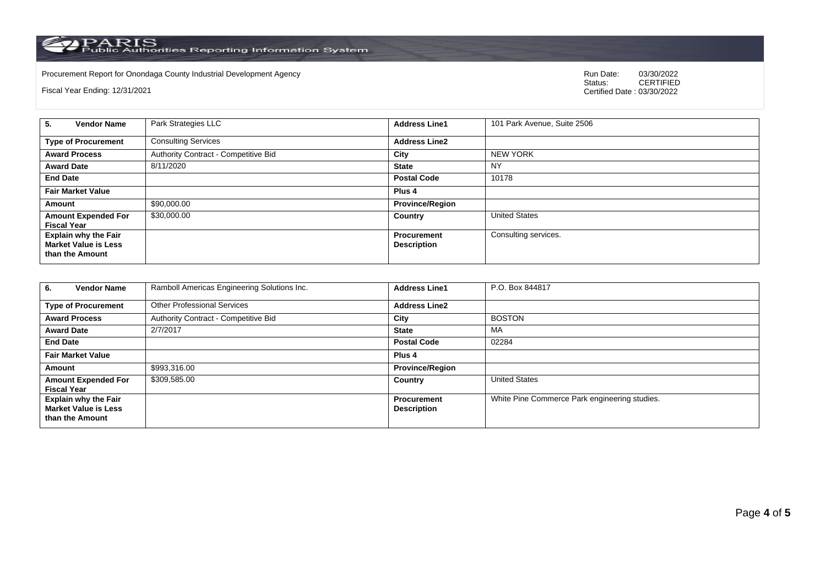PARIS<br>Public Authorities Reporting Information System

Procurement Report for Onondaga County Industrial Development Agency **Communication County Access Procurement Report** Status: 03/30/2022

Fiscal Year Ending: 12/31/2021

03/30/2022<br>CERTIFIED Certified Date : 03/30/2022

| 5.<br><b>Vendor Name</b>                                                      | Park Strategies LLC                  | <b>Address Line1</b>                     | 101 Park Avenue, Suite 2506 |
|-------------------------------------------------------------------------------|--------------------------------------|------------------------------------------|-----------------------------|
| <b>Type of Procurement</b>                                                    | <b>Consulting Services</b>           | <b>Address Line2</b>                     |                             |
| <b>Award Process</b>                                                          | Authority Contract - Competitive Bid | City                                     | <b>NEW YORK</b>             |
| <b>Award Date</b>                                                             | 8/11/2020                            | <b>State</b>                             | <b>NY</b>                   |
| <b>End Date</b>                                                               |                                      | <b>Postal Code</b>                       | 10178                       |
| <b>Fair Market Value</b>                                                      |                                      | Plus <sub>4</sub>                        |                             |
| Amount                                                                        | \$90,000.00                          | <b>Province/Region</b>                   |                             |
| <b>Amount Expended For</b><br><b>Fiscal Year</b>                              | \$30,000.00                          | Country                                  | <b>United States</b>        |
| <b>Explain why the Fair</b><br><b>Market Value is Less</b><br>than the Amount |                                      | <b>Procurement</b><br><b>Description</b> | Consulting services.        |

| <b>Vendor Name</b><br>6.                                                      | Ramboll Americas Engineering Solutions Inc. | <b>Address Line1</b>                     | P.O. Box 844817                               |
|-------------------------------------------------------------------------------|---------------------------------------------|------------------------------------------|-----------------------------------------------|
| <b>Type of Procurement</b>                                                    | <b>Other Professional Services</b>          | <b>Address Line2</b>                     |                                               |
| <b>Award Process</b>                                                          | Authority Contract - Competitive Bid        | City                                     | <b>BOSTON</b>                                 |
| <b>Award Date</b>                                                             | 2/7/2017                                    | <b>State</b>                             | МA                                            |
| <b>End Date</b>                                                               |                                             | <b>Postal Code</b>                       | 02284                                         |
| <b>Fair Market Value</b>                                                      |                                             | Plus 4                                   |                                               |
| Amount                                                                        | \$993,316.00                                | <b>Province/Region</b>                   |                                               |
| <b>Amount Expended For</b><br><b>Fiscal Year</b>                              | \$309,585.00                                | Country                                  | <b>United States</b>                          |
| <b>Explain why the Fair</b><br><b>Market Value is Less</b><br>than the Amount |                                             | <b>Procurement</b><br><b>Description</b> | White Pine Commerce Park engineering studies. |